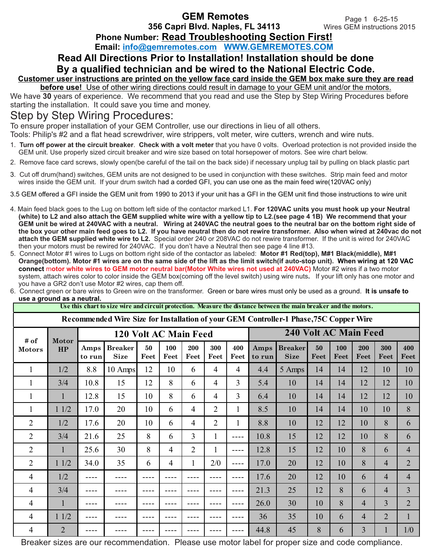Page 1 6-25-15 Wires GEM instructions 2015

**Phone Number: Read Troubleshooting Section First!** 

**Email: info@gemremotes.com WWW.GEMREMOTES.COM**

## **Read All Directions Prior to Installation! Installation should be done By a qualified technician and be wired to the National Electric Code.**

## **Customer user instructions are printed on the yellow face card inside the GEM box make sure they are read before use!** Use of other wiring directions could result in damage to your GEM unit and/or the motors.

We have **30** years of experience. We recommend that you read and use the Step by Step Wiring Procedures before starting the installation. It could save you time and money.

## Step by Step Wiring Procedures:

To ensure proper installation of your GEM Controller, use our directions in lieu of all others.

Tools: Philip's #2 and a flat head screwdriver, wire strippers, volt meter, wire cutters, wrench and wire nuts.

- 1. **Turn off power at the circuit breaker**. **Check with a volt meter** that you have 0 volts. Overload protection is not provided inside the GEM unit. Use properly sized circuit breaker and wire size based on total horsepower of motors. See wire chart below.
- 2. Remove face card screws, slowly open(be careful of the tail on the back side) if necessary unplug tail by pulling on black plastic part.
- 3. Cut off drum(hand) switches, GEM units are not designed to be used in conjunction with these switches. Strip main feed and motor wires inside the GEM unit. If your drum switch had a corded GFI, you can use one as the main feed wire(120VAC only).
- 3.5 GEM offered a GFI inside the GEM unit from 1990 to 2013 if your unit has a GFI in the GEM unit find those instructions to wire unit
- 4. Main feed black goes to the Lug on bottom left side of the contactor marked L1. **For 120VAC units you must hook up your Neutral (white) to L2 and also attach the GEM supplied white wire with a yellow tip to L2.(see page 4 1B) We recommend that your GEM unit be wired at 240VAC with a neutral. Wiring at 240VAC the neutral goes to the neutral bar on the bottom right side of the box your other main feed goes to L2. If you have neutral then do not rewire transformer. Also when wired at 240vac do not attach the GEM supplied white wire to L2.** Special order 240 or 208VAC do not rewire transformer. If the unit is wired for 240VAC then your motors must be rewired for 240VAC. If you don't have a Neutral then see page 4 line #13.
- 5. Connect Motor #1 wires to Lugs on bottom right side of the contactor as labeled: **Motor #1 Red(top), M#1 Black(middle), M#1 Orange(bottom). Motor #1 wires are on the same side of the lift as the limit switch(if auto-stop unit). When wiring at 120 VAC connect** m**otor white wires to GEM motor neutral bar(Motor White wires not used at 240VAC)** Motor #2 wires if a two motor system, attach wires color to color inside the GEM box(coming off the level switch) using wire nuts**.** If your lift only has one motor and you have a GR2 don't use Motor #2 wires, cap them off.

| Recommended Wire Size for Installation of your GEM Controller-1 Phase, 75C Copper Wire |                    |                       |                               |            |                |                |                |                |                              |                               |            |             |                |                |                |
|----------------------------------------------------------------------------------------|--------------------|-----------------------|-------------------------------|------------|----------------|----------------|----------------|----------------|------------------------------|-------------------------------|------------|-------------|----------------|----------------|----------------|
| # of<br><b>Motors</b>                                                                  | <b>Motor</b><br>HP | 120 Volt AC Main Feed |                               |            |                |                |                |                | <b>240 Volt AC Main Feed</b> |                               |            |             |                |                |                |
|                                                                                        |                    | Amps<br>to run        | <b>Breaker</b><br><b>Size</b> | 50<br>Feet | 100<br>Feet    | 200<br>Feet    | 300<br>Feet    | 400<br>Feet    | Amps<br>to run               | <b>Breaker</b><br><b>Size</b> | 50<br>Feet | 100<br>Feet | 200<br>Feet    | 300<br>Feet    | 400<br>Feet    |
| $\mathbf{1}$                                                                           | 1/2                | 8.8                   | 10 Amps                       | 12         | 10             | 6              | $\overline{4}$ | $\overline{4}$ | 4.4                          | 5 Amps                        | 14         | 14          | 12             | 10             | 10             |
| $\mathbf{1}$                                                                           | 3/4                | 10.8                  | 15                            | 12         | 8              | 6              | $\overline{4}$ | 3              | 5.4                          | 10                            | 14         | 14          | 12             | 12             | 10             |
| $\mathbf{1}$                                                                           | $\mathbf{1}$       | 12.8                  | 15                            | 10         | 8              | 6              | $\overline{4}$ | 3              | 6.4                          | 10                            | 14         | 14          | 12             | 12             | 10             |
| $\mathbf{1}$                                                                           | 11/2               | 17.0                  | 20                            | 10         | 6              | 4              | $\overline{2}$ | $\mathbf{1}$   | 8.5                          | 10                            | 14         | 14          | 10             | 10             | 8              |
| $\overline{2}$                                                                         | 1/2                | 17.6                  | 20                            | 10         | 6              | $\overline{4}$ | $\overline{2}$ | $\mathbf{1}$   | 8.8                          | 10                            | 12         | 12          | 10             | 8              | 6              |
| $\overline{2}$                                                                         | 3/4                | 21.6                  | 25                            | 8          | 6              | 3              | $\mathbf{1}$   | ----           | 10.8                         | 15                            | 12         | 12          | 10             | 8              | 6              |
| $\overline{2}$                                                                         | 1                  | 25.6                  | 30                            | 8          | $\overline{4}$ | $\overline{2}$ | $\mathbf{1}$   | $- - - -$      | 12.8                         | 15                            | 12         | 10          | 8              | 6              | $\overline{4}$ |
| $\overline{2}$                                                                         | 11/2               | 34.0                  | 35                            | 6          | $\overline{4}$ | 1              | 2/0            | $---$          | 17.0                         | 20                            | 12         | 10          | 8              | $\overline{4}$ | $\overline{2}$ |
| 4                                                                                      | 1/2                |                       |                               |            |                |                |                | ----           | 17.6                         | 20                            | 12         | 10          | 6              | $\overline{4}$ | $\overline{4}$ |
| 4                                                                                      | 3/4                |                       |                               |            |                |                |                | $---$          | 21.3                         | 25                            | 12         | 8           | 6              | 4              | 3              |
| 4                                                                                      | 1                  |                       |                               |            |                |                |                | ----           | 26.0                         | 30                            | 10         | 8           | $\overline{4}$ | 3              | $\overline{2}$ |
| 4                                                                                      | 11/2               |                       |                               |            |                |                |                |                | 36                           | 35                            | 10         | 6           | $\overline{4}$ | $\overline{2}$ | $\mathbf{1}$   |
| 4                                                                                      | $\overline{2}$     |                       |                               |            |                |                |                |                | 44.8                         | 45                            | 8          | 6           | $\overline{3}$ | $\mathbf{1}$   | 1/0            |

6. Connect green or bare wires to Green wire on the transformer. Green or bare wires must only be used as a ground. **It is unsafe to use a ground as a neutral.** 

Use this chart to size wire and circuit protection. Measure the distance between the main breaker and the motors.

Breaker sizes are our recommendation. Please use motor label for proper size and code compliance.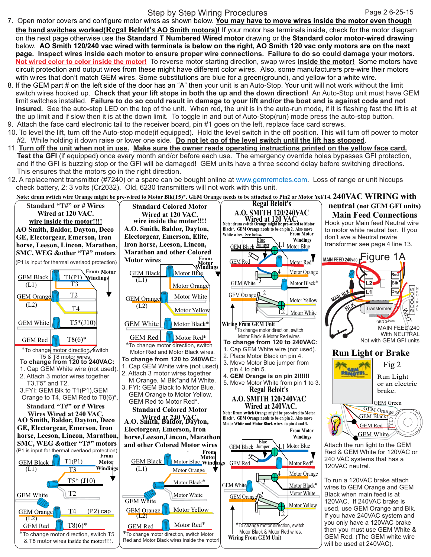## Step by Step Wiring Procedures

- 7. Open motor covers and configure motor wires as shown below. **You may have to move wires inside the motor even though the hand switches worked(Regal Beloit's AO Smith motors)!** If your motor has terminals inside, check for the motor diagram on the next page otherwise use the **Standard T Numbered Wired motor** drawing or the **Standard color motor-wired drawing**  below. **AO Smith 120/240 vac wired with terminals is below on the right, AO Smith 120 vac only motors are on the next page. Inspect wires inside each motor to ensure proper wire connections. Failure to do so could damage your motors. Not wired color to color inside the motor!** To reverse motor starting direction, swap wires **inside the motor!** Some motors have circuit protection and output wires from these might have different color wires. Also, some manufacturers pre-wire their motors with wires that don't match GEM wires. Some substitutions are blue for a green(ground), and yellow for a white wire.
- 8. If the GEM part # on the left side of the door has an "A" then your unit is an Auto-Stop. Your unit will not work without the limit switch wires hooked up. **Check that your lift stops in both the up and the down direction!** An Auto-Stop unit must have GEM limit switches installed. Failure to do so could result in damage to your lift and/or the boat and is against code and not **insured.** See the auto**-**stop LED on the top of the unit. When red**,** the unit is in the auto-run mode, if it is flashing fast the lift is at the up limit and if slow then it is at the down limit.To toggle in and out of Auto-Stop(run) mode press the auto-stop button. 9. Attach the face card electronic tail to the receiver board, pin #1 goes on the left, replace face card screws.
- 10. To level the lift, turn off the Auto-stop mode(if equipped). Hold the level switch in the off position. This will turn off power to motor #2. While holding it down raise or lower one side. **Do not let go of the level switch until the lift has stopped**.
- 11. **Turn off the unit when not in use. Make sure the owner reads operating instructions printed on the yellow face card. Test the GFI** (if equipped) once every month and/or before each use. The emergency override holes bypasses GFI protection, and if the GFI is buzzing stop or the GFI will be damaged! GEM units have a three second delay before switching directions. This ensures that the motors go in the right direction.
- 12. A replacement transmitter (#7240) or a spare can be bought online at www.gemremotes.com. Loss of range or unit hiccups check battery, 2: 3 volts (Cr2032). Old, 6230 transmitters will not work with this unit.

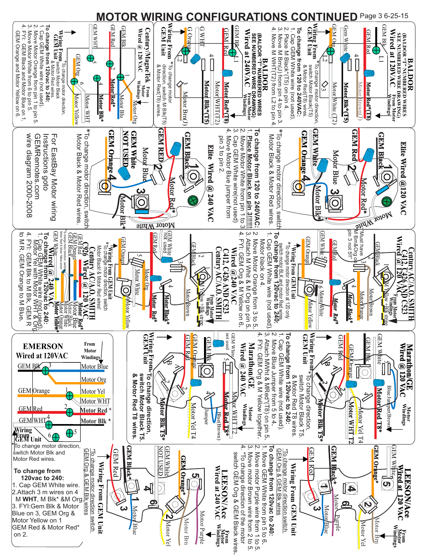